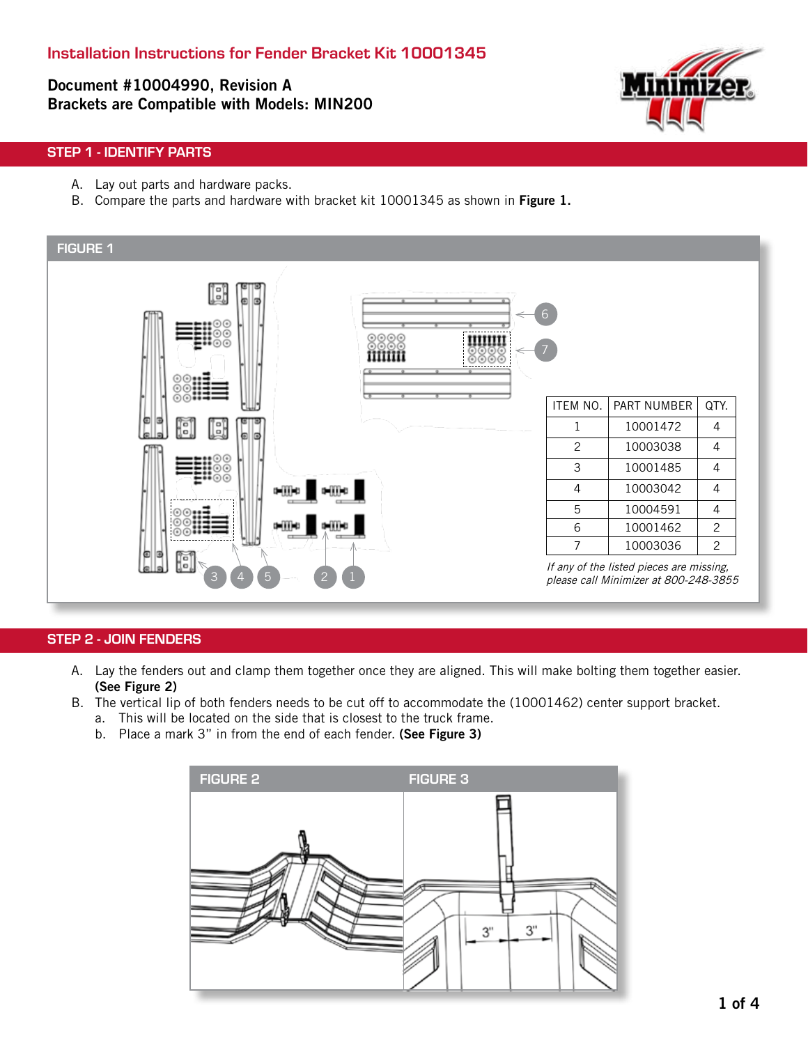## Document #10004990, Revision A Brackets are Compatible with Models: MIN200



## STEP 1 - IDENTIFY PARTS

- A. Lay out parts and hardware packs.
- B. Compare the parts and hardware with bracket kit 10001345 as shown in Figure 1.



#### STEP 2 - JOIN FENDERS

- A. Lay the fenders out and clamp them together once they are aligned. This will make bolting them together easier. (See Figure 2)
- B. The vertical lip of both fenders needs to be cut off to accommodate the (10001462) center support bracket.
	- a. This will be located on the side that is closest to the truck frame.
	- b. Place a mark 3" in from the end of each fender. (See Figure 3)

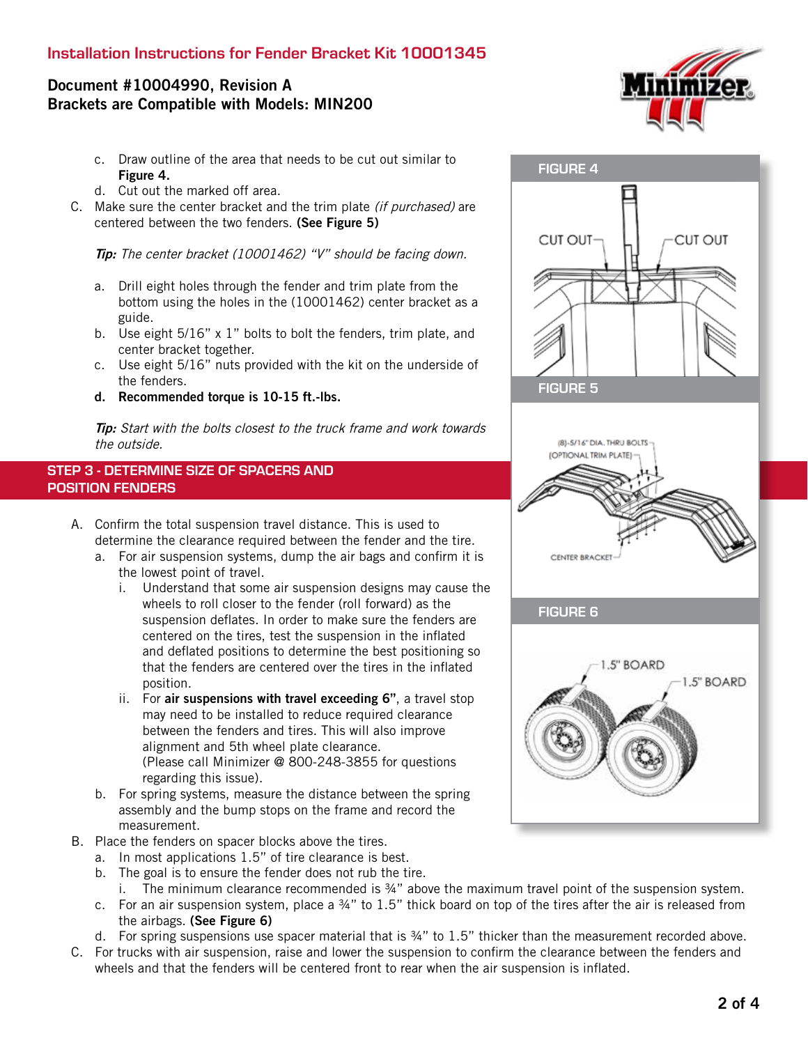## Installation Instructions for Fender Bracket Kit 10001345

# Document #10004990, Revision A Brackets are Compatible with Models: MIN200

- c. Draw outline of the area that needs to be cut out similar to Figure 4.
- d. Cut out the marked off area.
- C. Make sure the center bracket and the trim plate *(if purchased)* are centered between the two fenders. (See Figure 5)

Tip: The center bracket (10001462) "V" should be facing down.

- a. Drill eight holes through the fender and trim plate from the bottom using the holes in the (10001462) center bracket as a guide.
- b. Use eight 5/16" x 1" bolts to bolt the fenders, trim plate, and center bracket together.
- c. Use eight 5/16" nuts provided with the kit on the underside of the fenders.
- d. Recommended torque is 10-15 ft.-lbs.

the outside. Tip: Start with the bolts closest to the truck frame and work towards

# STEP 3 - DETERMINE SIZE OF SPACERS AND POSITION FENDERS

- A. Confirm the total suspension travel distance. This is used to determine the clearance required between the fender and the tire.
	- a. For air suspension systems, dump the air bags and confirm it is the lowest point of travel.
		- i. Understand that some air suspension designs may cause the wheels to roll closer to the fender (roll forward) as the suspension deflates. In order to make sure the fenders are centered on the tires, test the suspension in the inflated and deflated positions to determine the best positioning so that the fenders are centered over the tires in the inflated position.
		- ii. For air suspensions with travel exceeding 6", a travel stop may need to be installed to reduce required clearance between the fenders and tires. This will also improve alignment and 5th wheel plate clearance. (Please call Minimizer @ 800-248-3855 for questions regarding this issue).
	- b. For spring systems, measure the distance between the spring assembly and the bump stops on the frame and record the measurement.
- B. Place the fenders on spacer blocks above the tires.
	- a. In most applications 1.5" of tire clearance is best.
	- b. The goal is to ensure the fender does not rub the tire.
	- i. The minimum clearance recommended is ¾" above the maximum travel point of the suspension system.
	- c. For an air suspension system, place a ¾" to 1.5" thick board on top of the tires after the air is released from the airbags. (See Figure 6)
	- d. For spring suspensions use spacer material that is ¾" to 1.5" thicker than the measurement recorded above.
- C. For trucks with air suspension, raise and lower the suspension to confirm the clearance between the fenders and wheels and that the fenders will be centered front to rear when the air suspension is inflated.



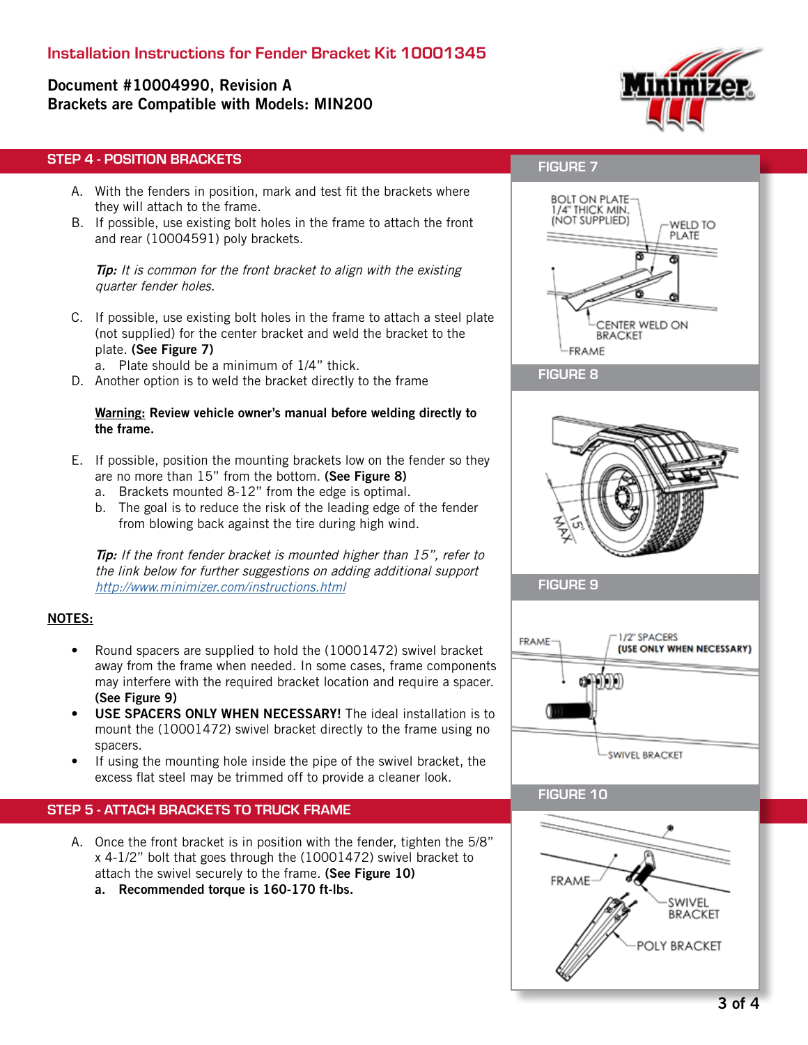# Document #10004990, Revision A Brackets are Compatible with Models: MIN200



### STEP 4 - POSITION BRACKETS

- A. With the fenders in position, mark and test fit the brackets where they will attach to the frame.
- B. If possible, use existing bolt holes in the frame to attach the front and rear (10004591) poly brackets.

**Tip:** It is common for the front bracket to align with the existing quarter fender holes.

- C. If possible, use existing bolt holes in the frame to attach a steel plate (not supplied) for the center bracket and weld the bracket to the plate. (See Figure 7)
	- a. Plate should be a minimum of 1/4" thick.
- D. Another option is to weld the bracket directly to the frame

#### Warning: Review vehicle owner's manual before welding directly to the frame.

- E. If possible, position the mounting brackets low on the fender so they are no more than 15" from the bottom. (See Figure 8)
	- a. Brackets mounted 8-12" from the edge is optimal.
	- b. The goal is to reduce the risk of the leading edge of the fender from blowing back against the tire during high wind.

**Tip:** If the front fender bracket is mounted higher than 15", refer to the link below for further suggestions on adding additional support http://www.minimizer.com/instructions.html

### NOTES:

- Round spacers are supplied to hold the (10001472) swivel bracket away from the frame when needed. In some cases, frame components may interfere with the required bracket location and require a spacer. (See Figure 9)
- USE SPACERS ONLY WHEN NECESSARY! The ideal installation is to mount the (10001472) swivel bracket directly to the frame using no spacers.
- If using the mounting hole inside the pipe of the swivel bracket, the excess flat steel may be trimmed off to provide a cleaner look.

#### STEP 5 - ATTACH BRACKETS TO TRUCK FRAME

A. Once the front bracket is in position with the fender, tighten the 5/8" x 4-1/2" bolt that goes through the (10001472) swivel bracket to attach the swivel securely to the frame. (See Figure 10) a. Recommended torque is 160-170 ft-lbs.

## FIGURE 7



#### FIGURE 8



FIGURE 9



#### FIGURE 10